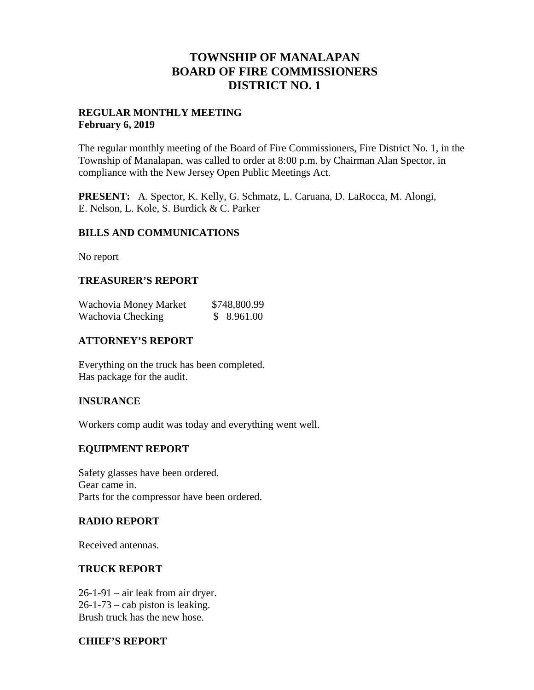## **TOWNSHIP OF MANALAPAN BOARD OF FIRE COMMISSIONERS DISTRICT NO. 1**

## **REGULAR MONTHLY MEETING February 6, 2019**

The regular monthly meeting of the Board of Fire Commissioners, Fire District No. 1, in the Township of Manalapan, was called to order at 8:00 p.m. by Chairman Alan Spector, in compliance with the New Jersey Open Public Meetings Act.

**PRESENT:** A. Spector, K. Kelly, G. Schmatz, L. Caruana, D. LaRocca, M. Alongi, E. Nelson, L. Kole, S. Burdick & C. Parker

#### **BILLS AND COMMUNICATIONS**

No report

#### **TREASURER'S REPORT**

| Wachovia Money Market | \$748,800.99 |
|-----------------------|--------------|
| Wachovia Checking     | \$8.961.00   |

## **ATTORNEY'S REPORT**

Everything on the truck has been completed. Has package for the audit.

#### **INSURANCE**

Workers comp audit was today and everything went well.

#### **EQUIPMENT REPORT**

Safety glasses have been ordered. Gear came in. Parts for the compressor have been ordered.

#### **RADIO REPORT**

Received antennas.

#### **TRUCK REPORT**

26-1-91 – air leak from air dryer.  $26-1-73$  – cab piston is leaking. Brush truck has the new hose.

#### **CHIEF'S REPORT**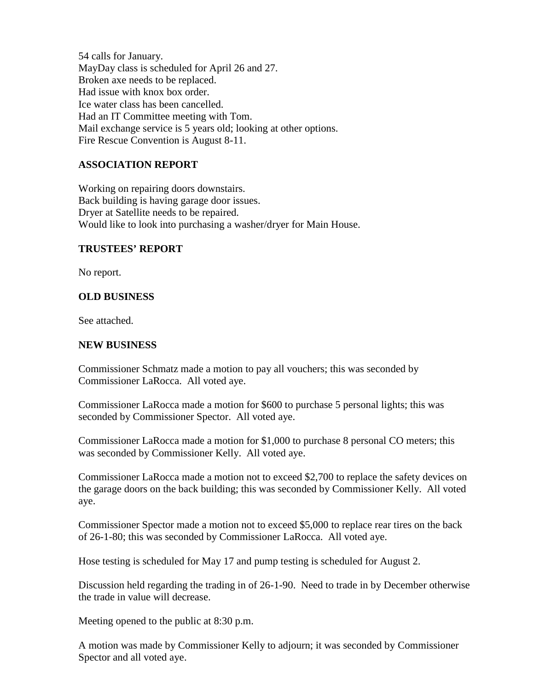54 calls for January. MayDay class is scheduled for April 26 and 27. Broken axe needs to be replaced. Had issue with knox box order. Ice water class has been cancelled. Had an IT Committee meeting with Tom. Mail exchange service is 5 years old; looking at other options. Fire Rescue Convention is August 8-11.

## **ASSOCIATION REPORT**

Working on repairing doors downstairs. Back building is having garage door issues. Dryer at Satellite needs to be repaired. Would like to look into purchasing a washer/dryer for Main House.

#### **TRUSTEES' REPORT**

No report.

## **OLD BUSINESS**

See attached.

## **NEW BUSINESS**

Commissioner Schmatz made a motion to pay all vouchers; this was seconded by Commissioner LaRocca. All voted aye.

Commissioner LaRocca made a motion for \$600 to purchase 5 personal lights; this was seconded by Commissioner Spector. All voted aye.

Commissioner LaRocca made a motion for \$1,000 to purchase 8 personal CO meters; this was seconded by Commissioner Kelly. All voted aye.

Commissioner LaRocca made a motion not to exceed \$2,700 to replace the safety devices on the garage doors on the back building; this was seconded by Commissioner Kelly. All voted aye.

Commissioner Spector made a motion not to exceed \$5,000 to replace rear tires on the back of 26-1-80; this was seconded by Commissioner LaRocca. All voted aye.

Hose testing is scheduled for May 17 and pump testing is scheduled for August 2.

Discussion held regarding the trading in of 26-1-90. Need to trade in by December otherwise the trade in value will decrease.

Meeting opened to the public at 8:30 p.m.

A motion was made by Commissioner Kelly to adjourn; it was seconded by Commissioner Spector and all voted aye.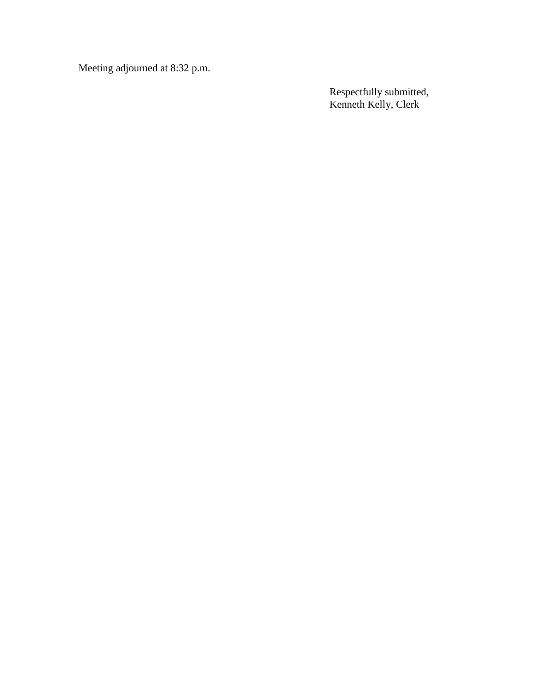Meeting adjourned at 8:32 p.m.

Respectfully submitted, Kenneth Kelly, Clerk